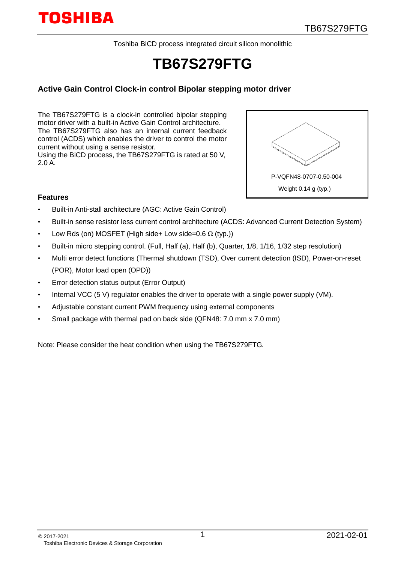Toshiba BiCD process integrated circuit silicon monolithic

# **TB67S279FTG**

### **Active Gain Control Clock-in control Bipolar stepping motor driver**

The TB67S279FTG is a clock-in controlled bipolar stepping motor driver with a built-in Active Gain Control architecture. The TB67S279FTG also has an internal current feedback control (ACDS) which enables the driver to control the motor current without using a sense resistor. Using the BiCD process, the TB67S279FTG is rated at 50 V,

P-VQFN48-0707-0.50-004 Weight 0.14 g (typ.)

#### **Features**

2.0 A.

- Built-in Anti-stall architecture (AGC: Active Gain Control)
- Built-in sense resistor less current control architecture (ACDS: Advanced Current Detection System)
- Low Rds (on) MOSFET (High side+ Low side=0.6  $\Omega$  (typ.))
- Built-in micro stepping control. (Full, Half (a), Half (b), Quarter, 1/8, 1/16, 1/32 step resolution)
- Multi error detect functions (Thermal shutdown (TSD), Over current detection (ISD), Power-on-reset (POR), Motor load open (OPD))
- Error detection status output (Error Output)
- Internal VCC (5 V) regulator enables the driver to operate with a single power supply (VM).
- Adjustable constant current PWM frequency using external components
- Small package with thermal pad on back side (QFN48: 7.0 mm x 7.0 mm)

Note: Please consider the heat condition when using the TB67S279FTG.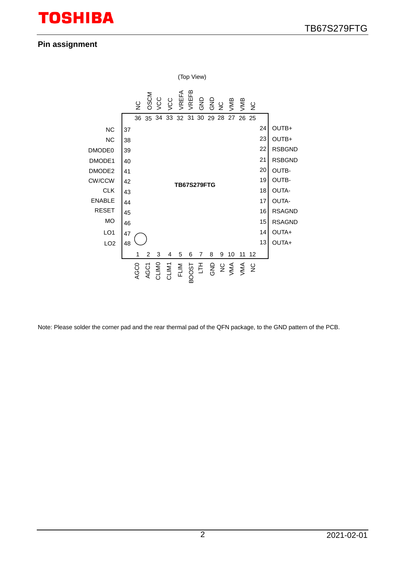## **Pin assignment**



Note: Please solder the corner pad and the rear thermal pad of the QFN package, to the GND pattern of the PCB.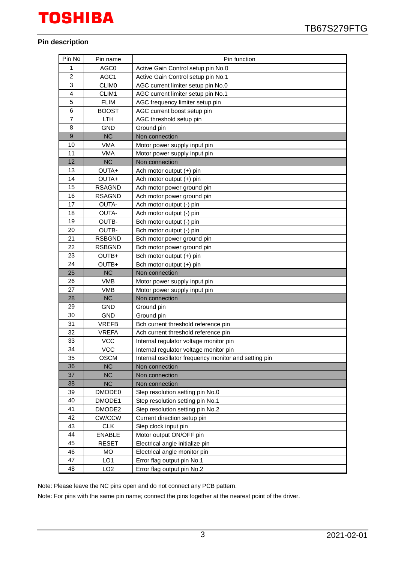#### **Pin description**

| Pin No         | Pin name        | Pin function                                          |
|----------------|-----------------|-------------------------------------------------------|
| 1              | AGC0            | Active Gain Control setup pin No.0                    |
| $\overline{c}$ | AGC1            | Active Gain Control setup pin No.1                    |
| 3              | <b>CLIMO</b>    | AGC current limiter setup pin No.0                    |
| 4              | CLIM1           | AGC current limiter setup pin No.1                    |
| 5              | <b>FLIM</b>     | AGC frequency limiter setup pin                       |
| 6              | <b>BOOST</b>    | AGC current boost setup pin                           |
| $\overline{7}$ | <b>LTH</b>      | AGC threshold setup pin                               |
| 8              | <b>GND</b>      | Ground pin                                            |
| 9              | <b>NC</b>       | Non connection                                        |
| 10             | VMA             | Motor power supply input pin                          |
| 11             | <b>VMA</b>      | Motor power supply input pin                          |
| 12             | <b>NC</b>       | Non connection                                        |
| 13             | OUTA+           | Ach motor output (+) pin                              |
| 14             | OUTA+           | Ach motor output (+) pin                              |
| 15             | <b>RSAGND</b>   | Ach motor power ground pin                            |
| 16             | <b>RSAGND</b>   | Ach motor power ground pin                            |
| 17             | OUTA-           | Ach motor output (-) pin                              |
| 18             | OUTA-           | Ach motor output (-) pin                              |
| 19             | OUTB-           | Bch motor output (-) pin                              |
| 20             | OUTB-           | Bch motor output (-) pin                              |
| 21             | <b>RSBGND</b>   | Bch motor power ground pin                            |
| 22             | <b>RSBGND</b>   | Bch motor power ground pin                            |
| 23             | OUTB+           | Bch motor output (+) pin                              |
| 24             | OUTB+           | Bch motor output (+) pin                              |
| 25             | <b>NC</b>       | Non connection                                        |
| 26             | <b>VMB</b>      | Motor power supply input pin                          |
| 27             | <b>VMB</b>      | Motor power supply input pin                          |
| 28             | <b>NC</b>       | Non connection                                        |
| 29             | <b>GND</b>      | Ground pin                                            |
| 30             | <b>GND</b>      | Ground pin                                            |
| 31             | <b>VREFB</b>    | Bch current threshold reference pin                   |
| 32             | <b>VREFA</b>    | Ach current threshold reference pin                   |
| 33             | <b>VCC</b>      | Internal regulator voltage monitor pin                |
| 34             | <b>VCC</b>      | Internal regulator voltage monitor pin                |
| 35             | <b>OSCM</b>     | Internal oscillator frequency monitor and setting pin |
| 36             | <b>NC</b>       | Non connection                                        |
| 37             | <b>NC</b>       | Non connection                                        |
| 38             | <b>NC</b>       | Non connection                                        |
| 39             | DMODE0          | Step resolution setting pin No.0                      |
| 40             | DMODE1          | Step resolution setting pin No.1                      |
| 41             | DMODE2          | Step resolution setting pin No.2                      |
| 42             | CW/CCW          | Current direction setup pin                           |
| 43             | <b>CLK</b>      | Step clock input pin                                  |
| 44             | <b>ENABLE</b>   | Motor output ON/OFF pin                               |
| 45             | <b>RESET</b>    | Electrical angle initialize pin                       |
| 46             | MO              | Electrical angle monitor pin                          |
| 47             | LO <sub>1</sub> | Error flag output pin No.1                            |
| 48             | LO <sub>2</sub> | Error flag output pin No.2                            |

Note: Please leave the NC pins open and do not connect any PCB pattern.

Note: For pins with the same pin name; connect the pins together at the nearest point of the driver.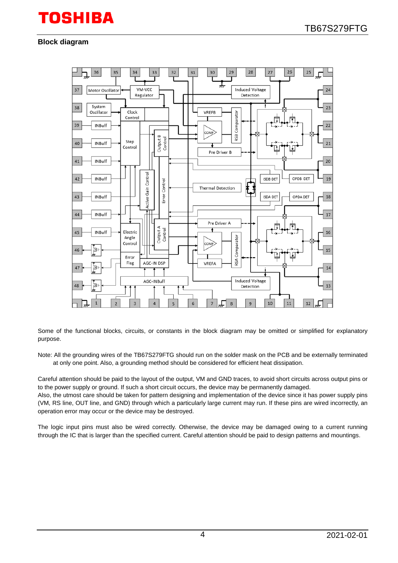#### **Block diagram**



Some of the functional blocks, circuits, or constants in the block diagram may be omitted or simplified for explanatory purpose.

Note: All the grounding wires of the TB67S279FTG should run on the solder mask on the PCB and be externally terminated at only one point. Also, a grounding method should be considered for efficient heat dissipation.

Careful attention should be paid to the layout of the output, VM and GND traces, to avoid short circuits across output pins or to the power supply or ground. If such a short circuit occurs, the device may be permanently damaged.

Also, the utmost care should be taken for pattern designing and implementation of the device since it has power supply pins (VM, RS line, OUT line, and GND) through which a particularly large current may run. If these pins are wired incorrectly, an operation error may occur or the device may be destroyed.

The logic input pins must also be wired correctly. Otherwise, the device may be damaged owing to a current running through the IC that is larger than the specified current. Careful attention should be paid to design patterns and mountings.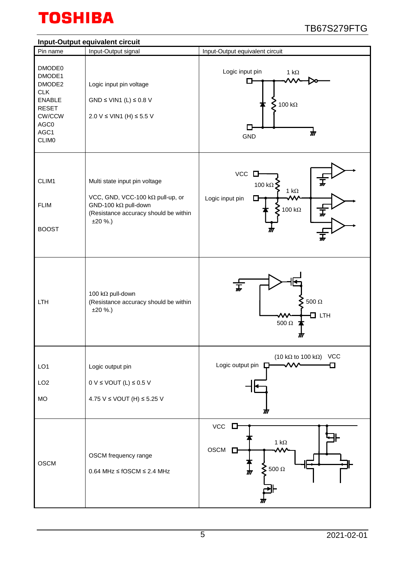

### **Input-Output equivalent circuit**

|                                                                                                                     | input-Output equivalent circuit                                                                                                                         |                                                                                              |
|---------------------------------------------------------------------------------------------------------------------|---------------------------------------------------------------------------------------------------------------------------------------------------------|----------------------------------------------------------------------------------------------|
| Pin name                                                                                                            | Input-Output signal                                                                                                                                     | Input-Output equivalent circuit                                                              |
| DMODE0<br>DMODE1<br>DMODE2<br><b>CLK</b><br><b>ENABLE</b><br><b>RESET</b><br>CW/CCW<br>AGC0<br>AGC1<br><b>CLIMO</b> | Logic input pin voltage<br>GND $\leq$ VIN1 (L) $\leq$ 0.8 V<br>2.0 V ≤ VIN1 (H) ≤ 5.5 V                                                                 | Logic input pin<br>1 k $\Omega$<br>$≤$ 100 kΩ<br>$\boldsymbol{\pi}$<br><b>GND</b>            |
| CLIM1<br><b>FLIM</b><br><b>BOOST</b>                                                                                | Multi state input pin voltage<br>VCC, GND, VCC-100 kΩ pull-up, or<br>GND-100 k $\Omega$ pull-down<br>(Resistance accuracy should be within<br>$±20$ %.) | VCC<br>D<br>100 k $\Omega$<br>1 k $\Omega$<br>Logic input pin<br>100 k $\Omega$              |
| LTH                                                                                                                 | 100 kΩ pull-down<br>(Resistance accuracy should be within<br>$±20$ %.)                                                                                  | $\overline{t}$<br>$500\ \Omega$<br>$\Box$ LTH<br>500 $\Omega$<br>M                           |
| LO <sub>1</sub><br>LO <sub>2</sub><br><b>MO</b>                                                                     | Logic output pin<br>$0 V \leq$ VOUT (L) $\leq$ 0.5 V<br>4.75 V ≤ VOUT (H) ≤ 5.25 V                                                                      | (10 k $\Omega$ to 100 k $\Omega$ ) VCC<br>Logic output pin $\square$                         |
| <b>OSCM</b>                                                                                                         | OSCM frequency range<br>$0.64$ MHz $\leq$ fOSCM $\leq$ 2.4 MHz                                                                                          | $VCC$ $\square$<br>1 k $\Omega$<br>OSCM <sub>D</sub><br>$\sum$ 500 $\Omega$<br>$\frac{1}{M}$ |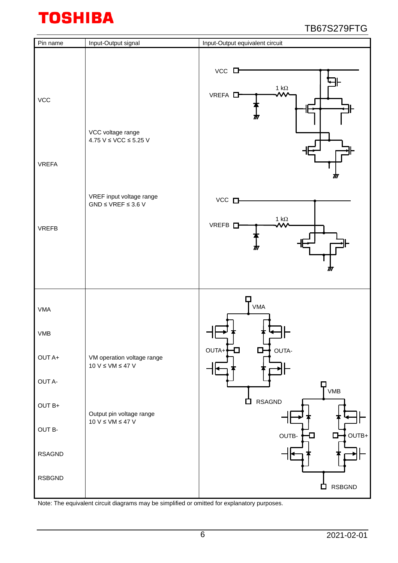| Pin name                   | Input-Output signal                                      | Input-Output equivalent circuit                                                |
|----------------------------|----------------------------------------------------------|--------------------------------------------------------------------------------|
| <b>VCC</b><br><b>VREFA</b> | VCC voltage range<br>4.75 $V \leq VCC \leq 5.25 V$       | $VCC$ $\Box$<br>$\frac{1 k\Omega}{\sqrt{M}}$<br>VREFA <sup>D</sup><br>m<br>Ш   |
| <b>VREFB</b>               | VREF input voltage range<br>$GND \le VREF \le 3.6 V$     | $VCC$ $\square$<br>1 $\mathsf{k}\Omega$<br>VREFB <sub>D</sub><br>۸۸.<br>M<br>M |
| <b>VMA</b>                 |                                                          | <b>VMA</b>                                                                     |
| VMB                        |                                                          | OUTA-<br>OUTA+<br>о<br>O                                                       |
| OUT A+                     | VM operation voltage range<br>10 V $\leq$ VM $\leq$ 47 V |                                                                                |
| OUT A-<br>OUT B+           |                                                          | ヿ<br>ヿѵмв<br><b>RSAGND</b><br>白                                                |
| OUT B-                     | Output pin voltage range<br>10 V $\leq$ VM $\leq$ 47 V   |                                                                                |
| <b>RSAGND</b>              |                                                          | $OUTB+$<br>OUTB-<br>О<br>U                                                     |
| <b>RSBGND</b>              |                                                          | <b>RSBGND</b><br>$\Box$                                                        |

Note: The equivalent circuit diagrams may be simplified or omitted for explanatory purposes.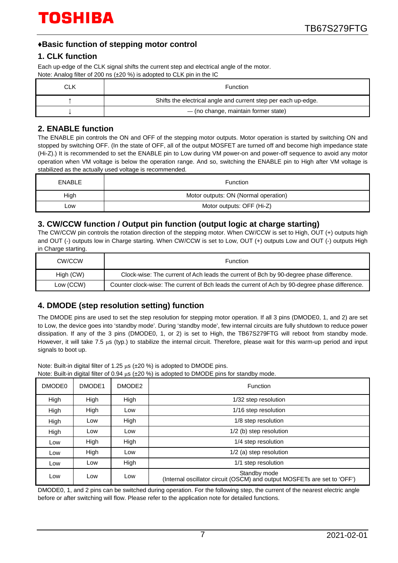## **♦Basic function of stepping motor control**

### **1. CLK function**

Each up-edge of the CLK signal shifts the current step and electrical angle of the motor. Note: Analog filter of 200 ns (±20 %) is adopted to CLK pin in the IC

| CLK | <b>Function</b>                                                |
|-----|----------------------------------------------------------------|
|     | Shifts the electrical angle and current step per each up-edge. |
|     | - (no change, maintain former state)                           |

## **2. ENABLE function**

The ENABLE pin controls the ON and OFF of the stepping motor outputs. Motor operation is started by switching ON and stopped by switching OFF. (In the state of OFF, all of the output MOSFET are turned off and become high impedance state (Hi-Z).) It is recommended to set the ENABLE pin to Low during VM power-on and power-off sequence to avoid any motor operation when VM voltage is below the operation range. And so, switching the ENABLE pin to High after VM voltage is stabilized as the actually used voltage is recommended.

| <b>ENABLE</b> | <b>Function</b>                      |  |  |  |
|---------------|--------------------------------------|--|--|--|
| High          | Motor outputs: ON (Normal operation) |  |  |  |
| _ow           | Motor outputs: OFF (Hi-Z)            |  |  |  |

## **3. CW/CCW function / Output pin function (output logic at charge starting)**

The CW/CCW pin controls the rotation direction of the stepping motor. When CW/CCW is set to High, OUT (+) outputs high and OUT (-) outputs low in Charge starting. When CW/CCW is set to Low, OUT (+) outputs Low and OUT (-) outputs High in Charge starting.

| CW/CCW    | <b>Function</b>                                                                                |
|-----------|------------------------------------------------------------------------------------------------|
| High (CW) | Clock-wise: The current of Ach leads the current of Bch by 90-degree phase difference.         |
| Low (CCW) | Counter clock-wise: The current of Bch leads the current of Ach by 90-degree phase difference. |

## **4. DMODE (step resolution setting) function**

The DMODE pins are used to set the step resolution for stepping motor operation. If all 3 pins (DMODE0, 1, and 2) are set to Low, the device goes into 'standby mode'. During 'standby mode', few internal circuits are fully shutdown to reduce power dissipation. If any of the 3 pins (DMODE0, 1, or 2) is set to High, the TB67S279FTG will reboot from standby mode. However, it will take 7.5 μs (typ.) to stabilize the internal circuit. Therefore, please wait for this warm-up period and input signals to boot up.

Note: Built-in digital filter of 1.25 μs (±20 %) is adopted to DMODE pins.

|  |  | Note: Built-in digital filter of 0.94 $\mu s$ ( $\pm$ 20 %) is adopted to DMODE pins for standby mode. |
|--|--|--------------------------------------------------------------------------------------------------------|
|--|--|--------------------------------------------------------------------------------------------------------|

| DMODE <sub>0</sub> | DMODE1<br>DMODE2 |      | Function                                                                                 |  |  |
|--------------------|------------------|------|------------------------------------------------------------------------------------------|--|--|
| High               | High             | High | 1/32 step resolution                                                                     |  |  |
| High               | High             | Low  | 1/16 step resolution                                                                     |  |  |
| High               | Low              | High | 1/8 step resolution                                                                      |  |  |
| High               | Low              | Low  | 1/2 (b) step resolution                                                                  |  |  |
| Low                | High             | High | 1/4 step resolution                                                                      |  |  |
| Low                | High             | Low  | 1/2 (a) step resolution                                                                  |  |  |
| Low                | Low              | High | 1/1 step resolution                                                                      |  |  |
| Low<br>Low<br>Low  |                  |      | Standby mode<br>(Internal oscillator circuit (OSCM) and output MOSFETs are set to 'OFF') |  |  |

DMODE0, 1, and 2 pins can be switched during operation. For the following step, the current of the nearest electric angle before or after switching will flow. Please refer to the application note for detailed functions.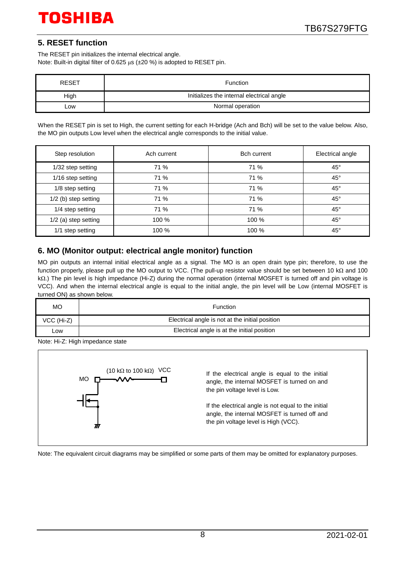## **5. RESET function**

The RESET pin initializes the internal electrical angle. Note: Built-in digital filter of 0.625 μs (±20 %) is adopted to RESET pin.

| <b>RESET</b> | Function                                  |
|--------------|-------------------------------------------|
| High         | Initializes the internal electrical angle |
| .ow          | Normal operation                          |

When the RESET pin is set to High, the current setting for each H-bridge (Ach and Bch) will be set to the value below. Also, the MO pin outputs Low level when the electrical angle corresponds to the initial value.

| Step resolution      | Ach current | <b>Bch current</b> | Electrical angle |  |
|----------------------|-------------|--------------------|------------------|--|
| 1/32 step setting    | 71 %        | 71 %               | $45^{\circ}$     |  |
| 1/16 step setting    | 71 %        | 71 %               | $45^{\circ}$     |  |
| 1/8 step setting     | 71 %        | 71 %               | $45^{\circ}$     |  |
| 1/2 (b) step setting | 71 %        | 71 %               | $45^{\circ}$     |  |
| 1/4 step setting     | 71 %        | 71 %               | $45^{\circ}$     |  |
| 1/2 (a) step setting | 100 %       | 100 %              | $45^{\circ}$     |  |
| 1/1 step setting     | 100 %       | 100 %              | $45^{\circ}$     |  |

## **6. MO (Monitor output: electrical angle monitor) function**

MO pin outputs an internal initial electrical angle as a signal. The MO is an open drain type pin; therefore, to use the function properly, please pull up the MO output to VCC. (The pull-up resistor value should be set between 10 kΩ and 100 kΩ.) The pin level is high impedance (Hi-Z) during the normal operation (internal MOSFET is turned off and pin voltage is VCC). And when the internal electrical angle is equal to the initial angle, the pin level will be Low (internal MOSFET is turned ON) as shown below.

| <b>MO</b>  | <b>Function</b>                                 |
|------------|-------------------------------------------------|
| VCC (Hi-Z) | Electrical angle is not at the initial position |
| _ow        | Electrical angle is at the initial position     |

Note: Hi-Z: High impedance state



Note: The equivalent circuit diagrams may be simplified or some parts of them may be omitted for explanatory purposes.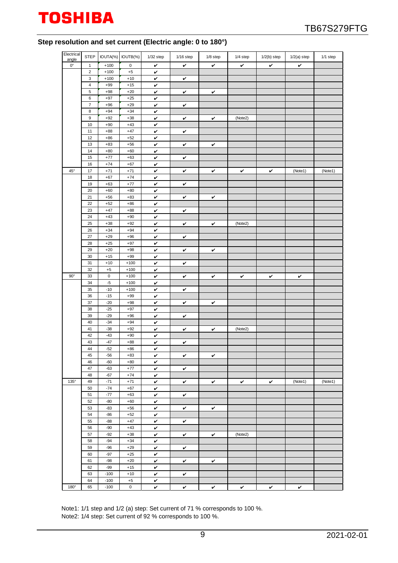

#### **Step resolution and set current (Electric angle: 0 to 180°)**

| Electrical   | <b>STEP</b>    |        | IOUTA(%) IOUTB(%) | $1/32$ step  | $1/16$ step | 1/8 step | 1/4 step | $1/2(b)$ step | $1/2(a)$ step | 1/1 step |
|--------------|----------------|--------|-------------------|--------------|-------------|----------|----------|---------------|---------------|----------|
| angle        |                |        |                   |              |             |          |          |               |               |          |
| $0^{\circ}$  | $\mathbf{1}$   | $+100$ | $\mathsf 0$       | v            | v           | v        | v        | v             | v             |          |
|              | $\sqrt{2}$     | $+100$ | $^{\rm +5}$       | v            |             |          |          |               |               |          |
|              | 3              | $+100$ | $+10$             | v            | v           |          |          |               |               |          |
|              | $\sqrt{4}$     | $+99$  | $+15$             | v            |             |          |          |               |               |          |
|              | 5              | $+98$  | $+20$             | v            | v           | v        |          |               |               |          |
|              | 6              | $+97$  | $+25$             | v            |             |          |          |               |               |          |
|              | $\overline{7}$ | $+96$  | $+29$             | v            | v           |          |          |               |               |          |
|              | 8              | $+94$  | $+34$             | v            |             |          |          |               |               |          |
|              | $9\,$          | $+92$  | $+38$             | v            | v           | v        | (Note2)  |               |               |          |
|              | 10             | $+90$  | $+43$             | v            |             |          |          |               |               |          |
|              | 11             | $+88$  | $+47$             | v            | v           |          |          |               |               |          |
|              | 12             | $+86$  | $+52$             | v            |             |          |          |               |               |          |
|              | 13             | $+83$  | $+56$             | v            | v           | v        |          |               |               |          |
|              | 14             | $+80$  | $+60$             | v            |             |          |          |               |               |          |
|              | 15             | $+77$  | $+63$             | v            | v           |          |          |               |               |          |
|              | 16             | $+74$  | $+67$             | v            |             |          |          |               |               |          |
| $45^{\circ}$ | 17             | $+71$  | $+71$             | v            | v           | v        | v        | v             | (Note1)       | (Note1)  |
|              | 18             | $+67$  | $+74$             | $\checkmark$ |             |          |          |               |               |          |
|              | 19             | $+63$  | $+77$             | v            | v           |          |          |               |               |          |
|              | 20             | $+60$  | $+80$             | v            |             |          |          |               |               |          |
|              | 21             | $+56$  | $+83$             |              |             |          |          |               |               |          |
|              | 22             |        |                   | v            | v           | v        |          |               |               |          |
|              |                | $+52$  | $+86$             | v            |             |          |          |               |               |          |
|              | 23             | $+47$  | $+88$             | v            | v           |          |          |               |               |          |
|              | 24             | $+43$  | $+90$             | v            |             |          |          |               |               |          |
|              | 25             | $+38$  | $+92$             | v            | v           | v        | (Note2)  |               |               |          |
|              | 26             | $+34$  | $+94$             | V            |             |          |          |               |               |          |
|              | 27             | $+29$  | $+96$             | v            | v           |          |          |               |               |          |
|              | 28             | $+25$  | $+97$             | v            |             |          |          |               |               |          |
|              | 29             | $+20$  | $+98$             | v            | v           | v        |          |               |               |          |
|              | 30             | $+15$  | $+99$             | v            |             |          |          |               |               |          |
|              | 31             | $+10$  | $+100$            | v            | v           |          |          |               |               |          |
|              | 32             | $+5$   | $+100$            | $\checkmark$ |             |          |          |               |               |          |
| $90^\circ$   | 33             | 0      | $+100$            | v            | v           | v        | v        | v             | v             |          |
|              | 34             | $-5$   | $+100$            | v            |             |          |          |               |               |          |
|              | 35             | $-10$  | $+100$            | v            | v           |          |          |               |               |          |
|              | 36             | $-15$  | $+99$             | v            |             |          |          |               |               |          |
|              | 37             | $-20$  | $+98$             | v            | v           | v        |          |               |               |          |
|              | 38             | $-25$  | $+97$             | v            |             |          |          |               |               |          |
|              | 39             | $-29$  | $+96$             | v            | v           |          |          |               |               |          |
|              | 40             | $-34$  | $+94$             | V            |             |          |          |               |               |          |
|              | 41             | $-38$  | $+92$             | v            | v           | v        | (Note2)  |               |               |          |
|              | 42             | $-43$  | $+90$             | v            |             |          |          |               |               |          |
|              | 43             | $-47$  | $+88$             | v            | v           |          |          |               |               |          |
|              | 44             | $-52$  | $+86$             | V            |             |          |          |               |               |          |
|              | 45             | $-56$  | $+83$             | v            | v           | v        |          |               |               |          |
|              | 46             | $-60$  | $+80$             | $\checkmark$ |             |          |          |               |               |          |
|              | 47             | $-63$  | $+77$             | v            | v           |          |          |               |               |          |
|              | 48             | $-67$  | $+74$             | v            |             |          |          |               |               |          |
| $135^\circ$  | 49             | $-71$  | $+71$             | v            | v           | v        | v        | v             | (Note1)       | (Note1)  |
|              | 50             | $-74$  | $+67$             | v            |             |          |          |               |               |          |
|              | 51             | $-77$  | $+63$             | v            | v           |          |          |               |               |          |
|              | 52             | $-80$  | $+60$             | $\checkmark$ |             |          |          |               |               |          |
|              | 53             | $-83$  | $+56$             | v            | v           | v        |          |               |               |          |
|              | 54             | $-86$  | $+52$             | v            |             |          |          |               |               |          |
|              | 55             | $-88$  | $+47$             | v            | v           |          |          |               |               |          |
|              | 56             | $-90$  | $+43$             | v            |             |          |          |               |               |          |
|              | 57             | $-92$  | $+38$             | v            | v           | v        | (Note2)  |               |               |          |
|              | 58             | $-94$  | $+34$             | v            |             |          |          |               |               |          |
|              | 59             | $-96$  | $+29$             | v            | v           |          |          |               |               |          |
|              | 60             | $-97$  | $+25$             | $\checkmark$ |             |          |          |               |               |          |
|              | 61             | $-98$  | $+20$             | v            | v           | v        |          |               |               |          |
|              | 62             | $-99$  | $+15$             | $\checkmark$ |             |          |          |               |               |          |
|              | 63             | $-100$ | $+10$             |              |             |          |          |               |               |          |
|              | 64             | $-100$ | $+5$              | v            | v           |          |          |               |               |          |
| $180^\circ$  | 65             | $-100$ | $\mathbf 0$       | v<br>v       |             |          |          |               |               |          |
|              |                |        |                   |              | v           | v        | v        | v             | v             |          |

Note1: 1/1 step and 1/2 (a) step: Set current of 71 % corresponds to 100 %. Note2: 1/4 step: Set current of 92 % corresponds to 100 %.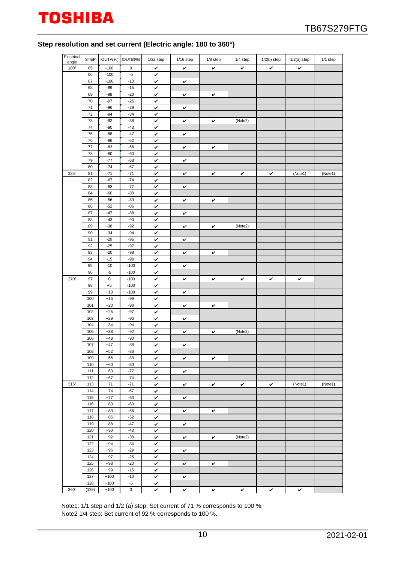

### **Step resolution and set current (Electric angle: 180 to 360°)**

| Electrical<br>angle | <b>STEP</b> |                     | IOUTA(%) IOUTB(%) | $1/32$ step  | $1/16$ step | 1/8 step     | 1/4 step     | $1/2(b)$ step | $1/2(a)$ step | 1/1 step |
|---------------------|-------------|---------------------|-------------------|--------------|-------------|--------------|--------------|---------------|---------------|----------|
| 180°                | 65          | $-100$              | 0                 | v            | v           | $\checkmark$ | $\checkmark$ | V             | v             |          |
|                     | 66          | $-100$              | $-5$              | v            |             |              |              |               |               |          |
|                     | 67          | $-100$              | $-10$             | $\checkmark$ | v           |              |              |               |               |          |
|                     | 68          | $-99$               | $-15$             | v            |             |              |              |               |               |          |
|                     | 69          | $-98$               | $-20$             | v            | v           | v            |              |               |               |          |
|                     | 70          | $-97$               | $-25$             | v            |             |              |              |               |               |          |
|                     | 71          | $-96$               | $-29$             | v            | v           |              |              |               |               |          |
|                     | 72          | $-94$               | $-34$             | v            |             |              |              |               |               |          |
|                     | 73          | $-92$               | $-38$             | v            | v           | v            | (Note2)      |               |               |          |
|                     | 74          | $-90$               | $-43$             | v            |             |              |              |               |               |          |
|                     | 75          | $-88$               | $-47$             | v            | v           |              |              |               |               |          |
|                     | 76          | $-86$               | $-52$             | v            |             |              |              |               |               |          |
|                     | 77          | $-83$               | $-56$             | v            | v           | v            |              |               |               |          |
|                     | 78          | $-80$               | $-60$             | $\checkmark$ |             |              |              |               |               |          |
|                     | 79          | $-77$               | $-63$             | v            | v           |              |              |               |               |          |
|                     | 80          | $-74$               | $-67$             | v            |             |              |              |               |               |          |
| $225^\circ$         | 81          | $-71$               | $-71$             | $\checkmark$ | v           | v            | v            | v             | (Note1)       | (Note1)  |
|                     | 82          | $-67$               | $-74$             | v            |             |              |              |               |               |          |
|                     | 83          | $-63$               | $-77$             | v            | v           |              |              |               |               |          |
|                     | 84          | $-60$               | $-80$             | v            |             |              |              |               |               |          |
|                     | 85          | $-56$               | $-83$             | v            | v           | v            |              |               |               |          |
|                     | 86          | $-52$               | $-86$             | v            |             |              |              |               |               |          |
|                     | 87          | $-47$               | $-88$             | $\checkmark$ | v           |              |              |               |               |          |
|                     | 88          | $-43$               | $-90$             | v            |             |              |              |               |               |          |
|                     | 89          | $-38$               | $-92$             | v            | v           | v            | (Note2)      |               |               |          |
|                     | 90          | $-34$               | $-94$             | v            |             |              |              |               |               |          |
|                     | 91          | $-29$               | $-96$             | v            | v           |              |              |               |               |          |
|                     | 92          | $-25$               | $-97$             | v            |             |              |              |               |               |          |
|                     | 93          | $-20$               | $-98$             | v            | v           | $\checkmark$ |              |               |               |          |
|                     | 94          | $-15$               | $-99$             | v            |             |              |              |               |               |          |
|                     | 95          | $-10$               | $-100$            | $\checkmark$ | v           |              |              |               |               |          |
|                     | 96          | $-5$                | $-100$            | v            |             |              |              |               |               |          |
| 270°                | 97<br>98    | $\mathsf 0$<br>$+5$ | $-100$<br>$-100$  | v            | v           | v            | v            | v             | v             |          |
|                     | 99          | $+10$               | $-100$            | v            |             |              |              |               |               |          |
|                     | 100         | $+15$               | $-99$             | v<br>v       | v           |              |              |               |               |          |
|                     | 101         | $+20$               | $-98$             | $\checkmark$ | v           | v            |              |               |               |          |
|                     | 102         | $+25$               | $-97$             | v            |             |              |              |               |               |          |
|                     | 103         | $+29$               | $-96$             | v            | v           |              |              |               |               |          |
|                     | 104         | $+34$               | $-94$             | v            |             |              |              |               |               |          |
|                     | 105         | $+38$               | $-92$             | v            | v           | v            | (Note2)      |               |               |          |
|                     | 106         | $+43$               | $-90$             | v            |             |              |              |               |               |          |
|                     | 107         | $+47$               | $-88$             | v            | v           |              |              |               |               |          |
|                     | 108         | $+52$               | $-86$             | v            |             |              |              |               |               |          |
|                     | 109         | $+56$               | $-83$             | v            | v           | v            |              |               |               |          |
|                     | 110         | $+60$               | $-80$             | v            |             |              |              |               |               |          |
|                     | 111         | $+63$               | $-77$             | v            | v           |              |              |               |               |          |
|                     | 112         | $+67$               | $-74$             | $\checkmark$ |             |              |              |               |               |          |
| $315^\circ$         | 113         | $+71$               | $-71$             | v            | v           | v            | $\checkmark$ | v             | (Note1)       | (Note1)  |
|                     | 114         | $+74$               | $-67$             | v            |             |              |              |               |               |          |
|                     | 115         | $+77$               | $-63$             | $\checkmark$ | v           |              |              |               |               |          |
|                     | 116         | $+80$               | $-60$             | v            |             |              |              |               |               |          |
|                     | 117         | $+83$               | $-56$             | v            | v           | v            |              |               |               |          |
|                     | 118         | $+86$               | $-52$             | v            |             |              |              |               |               |          |
|                     | 119         | $+88$               | $-47$             | v            | v           |              |              |               |               |          |
|                     | 120         | $+90$               | $-43$             | v            |             |              |              |               |               |          |
|                     | 121         | $+92$               | $-38$             | v            | v           | v            | (Note2)      |               |               |          |
|                     | 122         | $+94$               | $-34$             | v            |             |              |              |               |               |          |
|                     | 123         | $+96$               | $-29$             | $\checkmark$ | v           |              |              |               |               |          |
|                     | 124         | $+97$               | $-25$             | v            |             |              |              |               |               |          |
|                     | 125         | $+98$               | $-20$             | v            | v           | v            |              |               |               |          |
|                     | 126         | $+99$               | $-15$             | $\checkmark$ |             |              |              |               |               |          |
|                     | 127         | $+100$              | $-10$             | v            | v           |              |              |               |               |          |
|                     | 128         | $+100$              | $-5$              | v            |             |              |              |               |               |          |
| 360°                | (129)       | $+100$              | $\mathbf 0$       | V            | v           | v            | v            | v             | v             |          |

Note1: 1/1 step and 1/2 (a) step: Set current of 71 % corresponds to 100 %. Note2 1/4 step: Set current of 92 % corresponds to 100 %.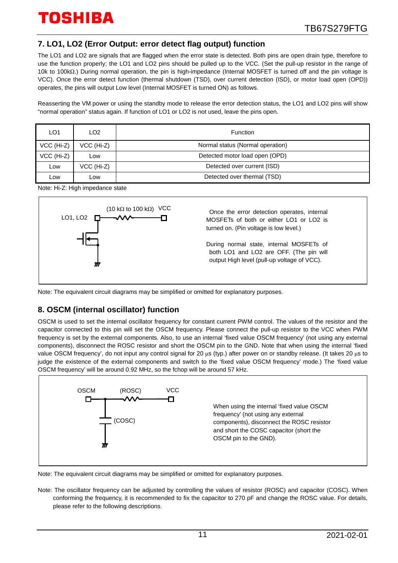## **7. LO1, LO2 (Error Output: error detect flag output) function**

The LO1 and LO2 are signals that are flagged when the error state is detected. Both pins are open drain type, therefore to use the function properly; the LO1 and LO2 pins should be pulled up to the VCC. (Set the pull-up resistor in the range of 10k to 100kΩ.) During normal operation, the pin is high-impedance (Internal MOSFET is turned off and the pin voltage is VCC). Once the error detect function (thermal shutdown (TSD), over current detection (ISD), or motor load open (OPD)) operates, the pins will output Low level (Internal MOSFET is turned ON) as follows.

Reasserting the VM power or using the standby mode to release the error detection status, the LO1 and LO2 pins will show "normal operation" status again. If function of LO1 or LO2 is not used, leave the pins open.

| LO1          | LO <sub>2</sub> | <b>Function</b>                  |
|--------------|-----------------|----------------------------------|
| $VCC$ (Hi-Z) | VCC (Hi-Z)      | Normal status (Normal operation) |
| VCC (Hi-Z)   | Low             | Detected motor load open (OPD)   |
| LOW          | VCC (Hi-Z)      | Detected over current (ISD)      |
| _ow          | LOW             | Detected over thermal (TSD)      |

Note: Hi-Z: High impedance state



Note: The equivalent circuit diagrams may be simplified or omitted for explanatory purposes.

## **8. OSCM (internal oscillator) function**

OSCM is used to set the internal oscillator frequency for constant current PWM control. The values of the resistor and the capacitor connected to this pin will set the OSCM frequency. Please connect the pull-up resistor to the VCC when PWM frequency is set by the external components. Also, to use an internal 'fixed value OSCM frequency' (not using any external components), disconnect the ROSC resistor and short the OSCM pin to the GND. Note that when using the internal 'fixed value OSCM frequency', do not input any control signal for 20 μs (typ.) after power on or standby release. (It takes 20 μs to judge the existence of the external components and switch to the 'fixed value OSCM frequency' mode.) The 'fixed value OSCM frequency' will be around 0.92 MHz, so the fchop will be around 57 kHz.



Note: The equivalent circuit diagrams may be simplified or omitted for explanatory purposes.

Note: The oscillator frequency can be adjusted by controlling the values of resistor (ROSC) and capacitor (COSC). When conforming the frequency, it is recommended to fix the capacitor to 270 pF and change the ROSC value. For details, please refer to the following descriptions.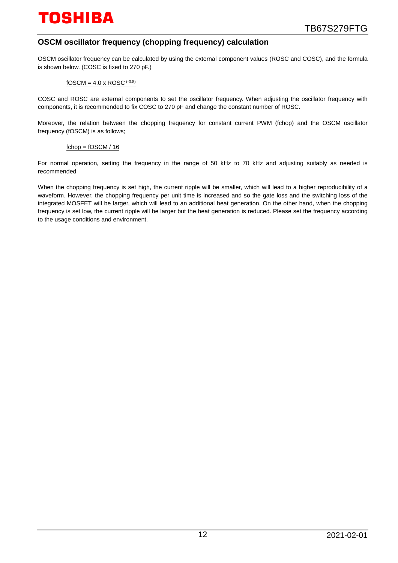## **OSCM oscillator frequency (chopping frequency) calculation**

OSCM oscillator frequency can be calculated by using the external component values (ROSC and COSC), and the formula is shown below. (COSC is fixed to 270 pF.)

#### $fOSCM = 4.0 \times ROSC$  (-0.8)

COSC and ROSC are external components to set the oscillator frequency. When adjusting the oscillator frequency with components, it is recommended to fix COSC to 270 pF and change the constant number of ROSC.

Moreover, the relation between the chopping frequency for constant current PWM (fchop) and the OSCM oscillator frequency (fOSCM) is as follows;

#### $fchop = fOSCM / 16$

For normal operation, setting the frequency in the range of 50 kHz to 70 kHz and adjusting suitably as needed is recommended

When the chopping frequency is set high, the current ripple will be smaller, which will lead to a higher reproducibility of a waveform. However, the chopping frequency per unit time is increased and so the gate loss and the switching loss of the integrated MOSFET will be larger, which will lead to an additional heat generation. On the other hand, when the chopping frequency is set low, the current ripple will be larger but the heat generation is reduced. Please set the frequency according to the usage conditions and environment.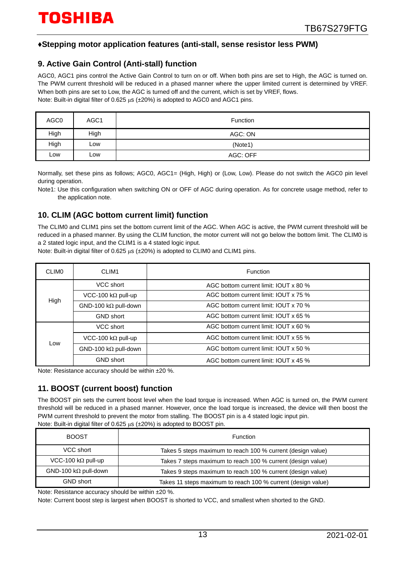## **♦Stepping motor application features (anti-stall, sense resistor less PWM)**

## **9. Active Gain Control (Anti-stall) function**

AGC0, AGC1 pins control the Active Gain Control to turn on or off. When both pins are set to High, the AGC is turned on. The PWM current threshold will be reduced in a phased manner where the upper limited current is determined by VREF. When both pins are set to Low, the AGC is turned off and the current, which is set by VREF, flows. Note: Built-in digital filter of 0.625 μs (±20%) is adopted to AGC0 and AGC1 pins.

| AGC0 | AGC <sub>1</sub> | <b>Function</b> |
|------|------------------|-----------------|
| High | High             | AGC: ON         |
| High | LOW              | (Note1)         |
| Low  | Low              | AGC: OFF        |

Normally, set these pins as follows; AGC0, AGC1= (High, High) or (Low, Low). Please do not switch the AGC0 pin level during operation.

Note1: Use this configuration when switching ON or OFF of AGC during operation. As for concrete usage method, refer to the application note.

## **10. CLIM (AGC bottom current limit) function**

The CLIM0 and CLIM1 pins set the bottom current limit of the AGC. When AGC is active, the PWM current threshold will be reduced in a phased manner. By using the CLIM function, the motor current will not go below the bottom limit. The CLIM0 is a 2 stated logic input, and the CLIM1 is a 4 stated logic input.

Note: Built-in digital filter of 0.625 μs (±20%) is adopted to CLIM0 and CLIM1 pins.

| <b>CLIMO</b> | CLIM1                        | Function                              |  |  |  |
|--------------|------------------------------|---------------------------------------|--|--|--|
|              | VCC short                    | AGC bottom current limit: IOUT x 80 % |  |  |  |
| High         | VCC-100 k $\Omega$ pull-up   | AGC bottom current limit: IOUT x 75 % |  |  |  |
|              | GND-100 k $\Omega$ pull-down | AGC bottom current limit: IOUT x 70 % |  |  |  |
|              | <b>GND</b> short             | AGC bottom current limit: IOUT x 65 % |  |  |  |
|              | VCC short                    | AGC bottom current limit: IOUT x 60 % |  |  |  |
|              | VCC-100 k $\Omega$ pull-up   | AGC bottom current limit: IOUT x 55 % |  |  |  |
| Low          | GND-100 k $\Omega$ pull-down | AGC bottom current limit: IOUT x 50 % |  |  |  |
|              | <b>GND short</b>             | AGC bottom current limit: IOUT x 45 % |  |  |  |

Note: Resistance accuracy should be within ±20 %.

## **11. BOOST (current boost) function**

The BOOST pin sets the current boost level when the load torque is increased. When AGC is turned on, the PWM current threshold will be reduced in a phased manner. However, once the load torque is increased, the device will then boost the PWM current threshold to prevent the motor from stalling. The BOOST pin is a 4 stated logic input pin. Note: Built-in digital filter of 0.625 μs (±20%) is adopted to BOOST pin.

| <b>BOOST</b>                | <b>Function</b>                                              |
|-----------------------------|--------------------------------------------------------------|
| VCC short                   | Takes 5 steps maximum to reach 100 % current (design value)  |
| VCC-100 k $\Omega$ pull-up  | Takes 7 steps maximum to reach 100 % current (design value)  |
| $GND-100 k\Omega$ pull-down | Takes 9 steps maximum to reach 100 % current (design value)  |
| <b>GND short</b>            | Takes 11 steps maximum to reach 100 % current (design value) |

Note: Resistance accuracy should be within ±20 %.

Note: Current boost step is largest when BOOST is shorted to VCC, and smallest when shorted to the GND.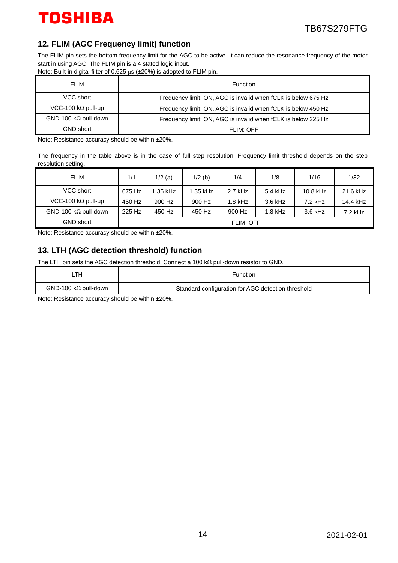## **12. FLIM (AGC Frequency limit) function**

The FLIM pin sets the bottom frequency limit for the AGC to be active. It can reduce the resonance frequency of the motor start in using AGC. The FLIM pin is a 4 stated logic input.

Note: Built-in digital filter of 0.625 μs (±20%) is adopted to FLIM pin.

| <b>FLIM</b>                  | Function                                                      |
|------------------------------|---------------------------------------------------------------|
| VCC short                    | Frequency limit: ON, AGC is invalid when fCLK is below 675 Hz |
| VCC-100 k $\Omega$ pull-up   | Frequency limit: ON, AGC is invalid when fCLK is below 450 Hz |
| GND-100 k $\Omega$ pull-down | Frequency limit: ON, AGC is invalid when fCLK is below 225 Hz |
| <b>GND short</b>             | FLIM: OFF                                                     |

Note: Resistance accuracy should be within ±20%.

The frequency in the table above is in the case of full step resolution. Frequency limit threshold depends on the step resolution setting.

| <b>FLIM</b>                  | 1/1    | $1/2$ (a) | $1/2$ (b) | 1/4              | 1/8       | 1/16      | 1/32      |
|------------------------------|--------|-----------|-----------|------------------|-----------|-----------|-----------|
| VCC short                    | 675 Hz | 1.35 kHz  | 1.35 kHz  | $2.7$ kHz        | 5.4 kHz   | 10.8 kHz  | 21.6 kHz  |
| VCC-100 k $\Omega$ pull-up   | 450 Hz | 900 Hz    | 900 Hz    | $1.8$ kHz        | $3.6$ kHz | $7.2$ kHz | 14.4 kHz  |
| GND-100 k $\Omega$ pull-down | 225 Hz | 450 Hz    | 450 Hz    | 900 Hz           | $1.8$ kHz | 3.6 kHz   | $7.2$ kHz |
| <b>GND short</b>             |        |           |           | <b>FLIM: OFF</b> |           |           |           |

Note: Resistance accuracy should be within ±20%.

## **13. LTH (AGC detection threshold) function**

The LTH pin sets the AGC detection threshold. Connect a 100 kΩ pull-down resistor to GND.

| _TH                         | Function                                           |
|-----------------------------|----------------------------------------------------|
| $GND-100 k\Omega$ pull-down | Standard configuration for AGC detection threshold |
|                             |                                                    |

Note: Resistance accuracy should be within ±20%.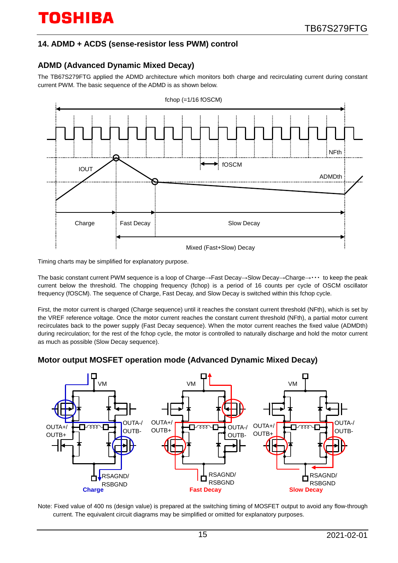## **14. ADMD + ACDS (sense-resistor less PWM) control**

## **ADMD (Advanced Dynamic Mixed Decay)**

The TB67S279FTG applied the ADMD architecture which monitors both charge and recirculating current during constant current PWM. The basic sequence of the ADMD is as shown below.



Timing charts may be simplified for explanatory purpose.

The basic constant current PWM sequence is a loop of Charge→Fast Decay→Slow Decay→Charge→・・・ to keep the peak current below the threshold. The chopping frequency (fchop) is a period of 16 counts per cycle of OSCM oscillator frequency (fOSCM). The sequence of Charge, Fast Decay, and Slow Decay is switched within this fchop cycle.

First, the motor current is charged (Charge sequence) until it reaches the constant current threshold (NFth), which is set by the VREF reference voltage. Once the motor current reaches the constant current threshold (NFth), a partial motor current recirculates back to the power supply (Fast Decay sequence). When the motor current reaches the fixed value (ADMDth) during recirculation; for the rest of the fchop cycle, the motor is controlled to naturally discharge and hold the motor current as much as possible (Slow Decay sequence).

## **Motor output MOSFET operation mode (Advanced Dynamic Mixed Decay)**



Note: Fixed value of 400 ns (design value) is prepared at the switching timing of MOSFET output to avoid any flow-through current. The equivalent circuit diagrams may be simplified or omitted for explanatory purposes.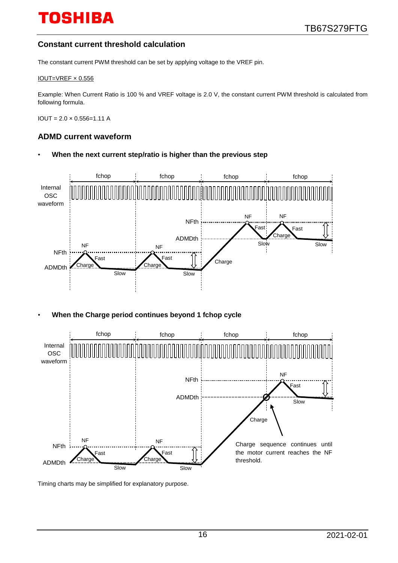## **Constant current threshold calculation**

The constant current PWM threshold can be set by applying voltage to the VREF pin.

#### IOUT=VREF × 0.556

Example: When Current Ratio is 100 % and VREF voltage is 2.0 V, the constant current PWM threshold is calculated from following formula.

 $IOUT = 2.0 \times 0.556 = 1.11 A$ 

#### **ADMD current waveform**

• **When the next current step/ratio is higher than the previous step**



• **When the Charge period continues beyond 1 fchop cycle**



Timing charts may be simplified for explanatory purpose.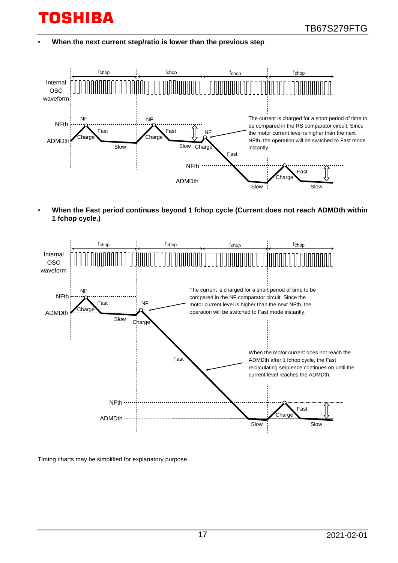• **When the next current step/ratio is lower than the previous step**



• **When the Fast period continues beyond 1 fchop cycle (Current does not reach ADMDth within 1 fchop cycle.)**



Timing charts may be simplified for explanatory purpose.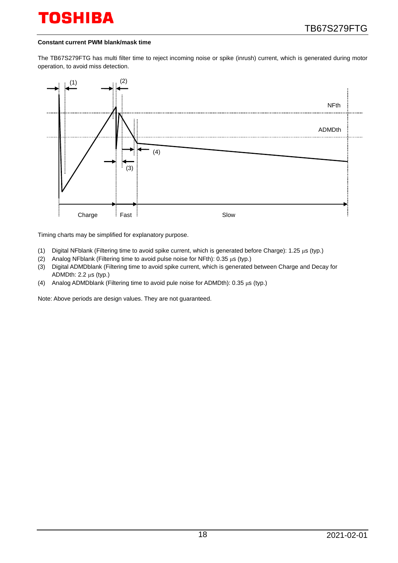#### **Constant current PWM blank/mask time**

The TB67S279FTG has multi filter time to reject incoming noise or spike (inrush) current, which is generated during motor operation, to avoid miss detection.



Timing charts may be simplified for explanatory purpose.

- (1) Digital NFblank (Filtering time to avoid spike current, which is generated before Charge): 1.25 μs (typ.)
- (2) Analog NFblank (Filtering time to avoid pulse noise for NFth): 0.35 μs (typ.)
- (3) Digital ADMDblank (Filtering time to avoid spike current, which is generated between Charge and Decay for ADMDth: 2.2 μs (typ.)
- (4) Analog ADMDblank (Filtering time to avoid pule noise for ADMDth): 0.35 μs (typ.)

Note: Above periods are design values. They are not guaranteed.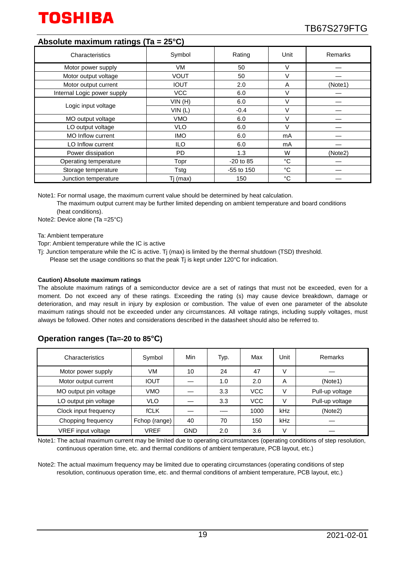

## **Absolute maximum ratings (Ta = 25°C)**

| Characteristics             | Symbol      | Rating       | Unit        | Remarks |
|-----------------------------|-------------|--------------|-------------|---------|
| Motor power supply          | VM.         | 50           | V           |         |
| Motor output voltage        | <b>VOUT</b> | 50           | V           |         |
| Motor output current        | <b>IOUT</b> | 2.0          | A           | (Note1) |
| Internal Logic power supply | <b>VCC</b>  | 6.0          | V           |         |
|                             | VIN(H)      | 6.0          | V           |         |
| Logic input voltage         | VIN(L)      | $-0.4$       | V           |         |
| MO output voltage           | <b>VMO</b>  | 6.0          | V           |         |
| LO output voltage           | <b>VLO</b>  | 6.0          | $\vee$      |         |
| <b>MO Inflow current</b>    | <b>IMO</b>  | 6.0          | mA          |         |
| LO Inflow current           | ILO.        | 6.0          | mA          |         |
| Power dissipation           | <b>PD</b>   | 1.3          | W           | (Note2) |
| Operating temperature       | Topr        | $-20$ to 85  | °C          |         |
| Storage temperature         | Tstg        | $-55$ to 150 | °C          |         |
| Junction temperature        | Tj (max)    | 150          | $^{\circ}C$ |         |

Note1: For normal usage, the maximum current value should be determined by heat calculation.

The maximum output current may be further limited depending on ambient temperature and board conditions (heat conditions).

Note2: Device alone (Ta =25°C)

Ta: Ambient temperature

Topr: Ambient temperature while the IC is active

- Tj: Junction temperature while the IC is active. Tj (max) is limited by the thermal shutdown (TSD) threshold.
	- Please set the usage conditions so that the peak Tj is kept under 120°C for indication.

#### **Caution) Absolute maximum ratings**

The absolute maximum ratings of a semiconductor device are a set of ratings that must not be exceeded, even for a moment. Do not exceed any of these ratings. Exceeding the rating (s) may cause device breakdown, damage or deterioration, and may result in injury by explosion or combustion. The value of even one parameter of the absolute maximum ratings should not be exceeded under any circumstances. All voltage ratings, including supply voltages, must always be followed. Other notes and considerations described in the datasheet should also be referred to.

## **Operation ranges (Ta=-20 to 85°C)**

| Characteristics       | Symbol        | Min        | Typ. | Max        | Unit | Remarks         |
|-----------------------|---------------|------------|------|------------|------|-----------------|
| Motor power supply    | VM            | 10         | 24   | 47         | V    |                 |
| Motor output current  | <b>IOUT</b>   |            | 1.0  | 2.0        | A    | (Note1)         |
| MO output pin voltage | <b>VMO</b>    |            | 3.3  | <b>VCC</b> | V    | Pull-up voltage |
| LO output pin voltage | <b>VLO</b>    |            | 3.3  | <b>VCC</b> | V    | Pull-up voltage |
| Clock input frequency | <b>fCLK</b>   |            |      | 1000       | kHz  | (Note2)         |
| Chopping frequency    | Fchop (range) | 40         | 70   | 150        | kHz  |                 |
| VREF input voltage    | VREF          | <b>GND</b> | 2.0  | 3.6        | V    |                 |

Note1: The actual maximum current may be limited due to operating circumstances (operating conditions of step resolution, continuous operation time, etc. and thermal conditions of ambient temperature, PCB layout, etc.)

Note2: The actual maximum frequency may be limited due to operating circumstances (operating conditions of step resolution, continuous operation time, etc. and thermal conditions of ambient temperature, PCB layout, etc.)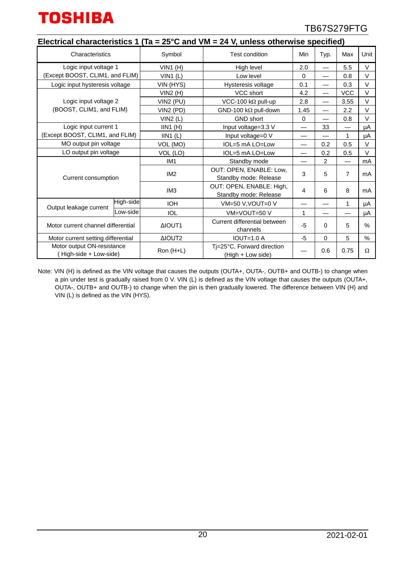

|                                                     |                                           |                 |                                                        |          | Electrical characteristics 1 (Ta = $25^{\circ}$ C and VM = 24 V, unless otherwise specified) |                          |        |  |  |  |  |  |  |  |  |  |
|-----------------------------------------------------|-------------------------------------------|-----------------|--------------------------------------------------------|----------|----------------------------------------------------------------------------------------------|--------------------------|--------|--|--|--|--|--|--|--|--|--|
| Characteristics                                     |                                           | Symbol          | <b>Test condition</b>                                  | Min      | Typ.                                                                                         | Max                      | Unit   |  |  |  |  |  |  |  |  |  |
| Logic input voltage 1                               |                                           | $VIN1$ (H)      | High level                                             | 2.0      |                                                                                              | 5.5                      | $\vee$ |  |  |  |  |  |  |  |  |  |
| (Except BOOST, CLIM1, and FLIM)                     |                                           | $VIN1$ (L)      | Low level                                              | $\Omega$ | $\overline{\phantom{0}}$                                                                     | 0.8                      | $\vee$ |  |  |  |  |  |  |  |  |  |
| Logic input hysteresis voltage                      |                                           | VIN (HYS)       | Hysteresis voltage                                     | 0.1      | $\overline{\phantom{0}}$                                                                     | 0.3                      | V      |  |  |  |  |  |  |  |  |  |
|                                                     |                                           | VIN2(H)         | VCC short                                              | 4.2      | $\overline{\phantom{0}}$                                                                     | <b>VCC</b>               | V      |  |  |  |  |  |  |  |  |  |
| Logic input voltage 2                               |                                           | VIN2 (PU)       | VCC-100 k $\Omega$ pull-up                             | 2.8      | $\overline{\phantom{0}}$                                                                     | 3.55                     | V      |  |  |  |  |  |  |  |  |  |
| (BOOST, CLIM1, and FLIM)                            |                                           | VIN2 (PD)       | GND-100 kΩ pull-down                                   | 1.45     | $\overline{\phantom{0}}$                                                                     | 2.2                      | $\vee$ |  |  |  |  |  |  |  |  |  |
|                                                     |                                           | VIN2(L)         | <b>GND short</b>                                       | $\Omega$ | $\overline{\phantom{0}}$                                                                     | 0.8                      | $\vee$ |  |  |  |  |  |  |  |  |  |
| Logic input current 1                               |                                           | IIN1(H)         | Input voltage=3.3 V                                    |          | 33                                                                                           |                          | μA     |  |  |  |  |  |  |  |  |  |
| (Except BOOST, CLIM1, and FLIM)                     |                                           | $IIN1$ (L)      | Input voltage=0 V                                      |          |                                                                                              | 1                        | μA     |  |  |  |  |  |  |  |  |  |
| MO output pin voltage                               | IOL=5 mA LO=Low<br>0.5<br>VOL (MO)<br>0.2 |                 |                                                        |          | $\vee$                                                                                       |                          |        |  |  |  |  |  |  |  |  |  |
| LO output pin voltage                               |                                           | VOL (LO)        | IOL=5 mA LO=Low                                        |          | 0.2                                                                                          | 0.5                      | $\vee$ |  |  |  |  |  |  |  |  |  |
|                                                     |                                           | IM <sub>1</sub> | Standby mode                                           |          | $\overline{2}$                                                                               | $\overline{\phantom{0}}$ | mA     |  |  |  |  |  |  |  |  |  |
| Current consumption                                 |                                           | IM <sub>2</sub> | OUT: OPEN, ENABLE: Low,<br>Standby mode: Release       |          | 5                                                                                            | 7                        | mA     |  |  |  |  |  |  |  |  |  |
|                                                     |                                           | IM <sub>3</sub> | OUT: OPEN, ENABLE: High,<br>4<br>Standby mode: Release |          | 6                                                                                            | 8                        | mA     |  |  |  |  |  |  |  |  |  |
| Output leakage current                              | High-side                                 | <b>IOH</b>      | VM=50 V, VOUT=0 V                                      |          |                                                                                              | $\mathbf{1}$             | μA     |  |  |  |  |  |  |  |  |  |
|                                                     | Low-side                                  | <b>IOL</b>      | VM=VOUT=50 V                                           | 1        |                                                                                              |                          | μA     |  |  |  |  |  |  |  |  |  |
| Motor current channel differential                  |                                           | <b>AIOUT1</b>   | Current differential between<br>channels               | $-5$     | 0                                                                                            | 5                        | %      |  |  |  |  |  |  |  |  |  |
| Motor current setting differential                  |                                           | ΔIOUT2          | <b>IOUT=1.0 A</b>                                      | $-5$     | $\Omega$                                                                                     | 5                        | $\%$   |  |  |  |  |  |  |  |  |  |
| Motor output ON-resistance<br>High-side + Low-side) |                                           | Ron (H+L)       | Ti=25°C, Forward direction<br>(High + Low side)        |          | 0.6                                                                                          | 0.75                     | Ω      |  |  |  |  |  |  |  |  |  |

Note: VIN (H) is defined as the VIN voltage that causes the outputs (OUTA+, OUTA-, OUTB+ and OUTB-) to change when a pin under test is gradually raised from 0 V. VIN (L) is defined as the VIN voltage that causes the outputs (OUTA+, OUTA-, OUTB+ and OUTB-) to change when the pin is then gradually lowered. The difference between VIN (H) and VIN (L) is defined as the VIN (HYS).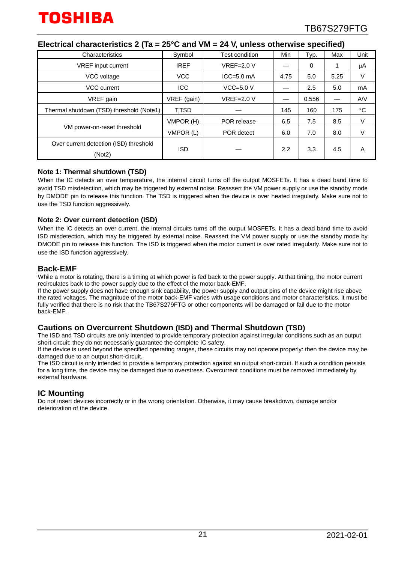| Characteristics                                  | Symbol                  | Test condition | Min  | Typ.  | Max  | Unit              |
|--------------------------------------------------|-------------------------|----------------|------|-------|------|-------------------|
| VREF input current                               | <b>IREF</b>             | $VREF=2.0 V$   |      | 0     |      | μA                |
| VCC voltage                                      | <b>VCC</b>              | $ICC = 5.0$ mA | 4.75 | 5.0   | 5.25 | V                 |
| VCC current                                      | <b>ICC</b>              | $VCC=5.0 V$    |      | 2.5   | 5.0  | mA                |
| VREF gain                                        | VREF (gain)             | $VREF=2.0 V$   |      | 0.556 |      | AVV               |
| Thermal shutdown (TSD) threshold (Note1)         | <b>T<sub>i</sub>TSD</b> |                | 145  | 160   | 175  | $^{\circ}{\rm C}$ |
|                                                  | VMPOR (H)               | POR release    | 6.5  | 7.5   | 8.5  | V                 |
| VM power-on-reset threshold                      | VMPOR (L)               | POR detect     | 6.0  | 7.0   | 8.0  | V                 |
| Over current detection (ISD) threshold<br>(Not2) | <b>ISD</b>              |                | 2.2  | 3.3   | 4.5  | A                 |

#### **Electrical characteristics 2 (Ta = 25°C and VM = 24 V, unless otherwise specified)**

#### **Note 1: Thermal shutdown (TSD)**

When the IC detects an over temperature, the internal circuit turns off the output MOSFETs. It has a dead band time to avoid TSD misdetection, which may be triggered by external noise. Reassert the VM power supply or use the standby mode by DMODE pin to release this function. The TSD is triggered when the device is over heated irregularly. Make sure not to use the TSD function aggressively.

#### **Note 2: Over current detection (ISD)**

When the IC detects an over current, the internal circuits turns off the output MOSFETs. It has a dead band time to avoid ISD misdetection, which may be triggered by external noise. Reassert the VM power supply or use the standby mode by DMODE pin to release this function. The ISD is triggered when the motor current is over rated irregularly. Make sure not to use the ISD function aggressively.

#### **Back-EMF**

While a motor is rotating, there is a timing at which power is fed back to the power supply. At that timing, the motor current recirculates back to the power supply due to the effect of the motor back-EMF.

If the power supply does not have enough sink capability, the power supply and output pins of the device might rise above the rated voltages. The magnitude of the motor back-EMF varies with usage conditions and motor characteristics. It must be fully verified that there is no risk that the TB67S279FTG or other components will be damaged or fail due to the motor back-EMF.

#### **Cautions on Overcurrent Shutdown (ISD) and Thermal Shutdown (TSD)**

The ISD and TSD circuits are only intended to provide temporary protection against irregular conditions such as an output short-circuit; they do not necessarily guarantee the complete IC safety.

If the device is used beyond the specified operating ranges, these circuits may not operate properly: then the device may be damaged due to an output short-circuit.

The ISD circuit is only intended to provide a temporary protection against an output short-circuit. If such a condition persists for a long time, the device may be damaged due to overstress. Overcurrent conditions must be removed immediately by external hardware.

### **IC Mounting**

Do not insert devices incorrectly or in the wrong orientation. Otherwise, it may cause breakdown, damage and/or deterioration of the device.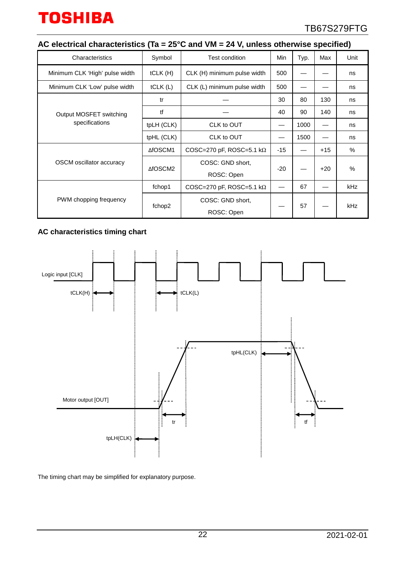# **AC electrical characteristics (Ta = 25°C and VM = 24 V, unless otherwise specified)**

| Characteristics                           | Symbol     | Test condition                   | Min   | Typ. | Max   | Unit       |
|-------------------------------------------|------------|----------------------------------|-------|------|-------|------------|
| Minimum CLK 'High' pulse width            | tCLK(H)    | CLK (H) minimum pulse width      | 500   |      |       | ns         |
| Minimum CLK 'Low' pulse width             | tCLK(L)    | CLK (L) minimum pulse width      | 500   |      |       | ns         |
| Output MOSFET switching<br>specifications | tr         |                                  | 30    | 80   | 130   | ns         |
|                                           | tf         |                                  | 40    | 90   | 140   | ns         |
|                                           | tpLH (CLK) | CLK to OUT                       |       | 1000 |       | ns         |
|                                           | tpHL (CLK) | CLK to OUT                       |       | 1500 |       | ns         |
| OSCM oscillator accuracy                  | ∆fOSCM1    | COSC=270 pF, ROSC=5.1 k $\Omega$ | $-15$ |      | $+15$ | $\%$       |
|                                           | ∆fOSCM2    | COSC: GND short,                 | $-20$ |      | $+20$ | $\%$       |
|                                           |            | ROSC: Open                       |       |      |       |            |
| PWM chopping frequency                    | fchop1     | COSC=270 pF, ROSC=5.1 k $\Omega$ |       | 67   |       | <b>kHz</b> |
|                                           | fchop2     | COSC: GND short,                 |       | 57   |       | <b>kHz</b> |
|                                           |            | ROSC: Open                       |       |      |       |            |

## **AC characteristics timing chart**



The timing chart may be simplified for explanatory purpose.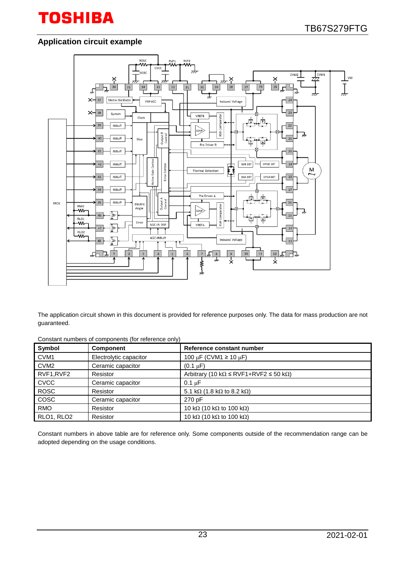# **Application circuit example**



The application circuit shown in this document is provided for reference purposes only. The data for mass production are not guaranteed.

| Constant numbers of components (for reference only) |  |
|-----------------------------------------------------|--|
|-----------------------------------------------------|--|

| Symbol           | <b>Component</b>       | Reference constant number                                      |
|------------------|------------------------|----------------------------------------------------------------|
| CVM <sub>1</sub> | Electrolytic capacitor | 100 µF (CVM1 $\geq$ 10 µF)                                     |
| CVM <sub>2</sub> | Ceramic capacitor      | $(0.1 \mu F)$                                                  |
| RVF1, RVF2       | Resistor               | Arbitrary (10 k $\Omega \leq RVF1 + RVF2 \leq 50$ k $\Omega$ ) |
| <b>CVCC</b>      | Ceramic capacitor      | $0.1 \mu F$                                                    |
| <b>ROSC</b>      | Resistor               | 5.1 k $\Omega$ (1.8 k $\Omega$ to 8.2 k $\Omega$ )             |
| COSC             | Ceramic capacitor      | 270 pF                                                         |
| <b>RMO</b>       | Resistor               | 10 k $\Omega$ (10 k $\Omega$ to 100 k $\Omega$ )               |
| RLO1, RLO2       | Resistor               | 10 k $\Omega$ (10 k $\Omega$ to 100 k $\Omega$ )               |

Constant numbers in above table are for reference only. Some components outside of the recommendation range can be adopted depending on the usage conditions.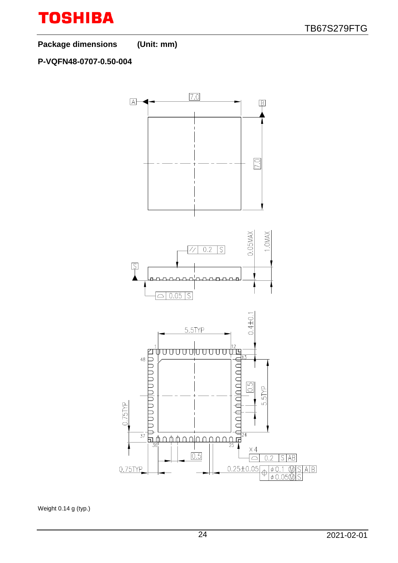

**Package dimensions (Unit: mm)**

## **P-VQFN48-0707-0.50-004**



Weight 0.14 g (typ.)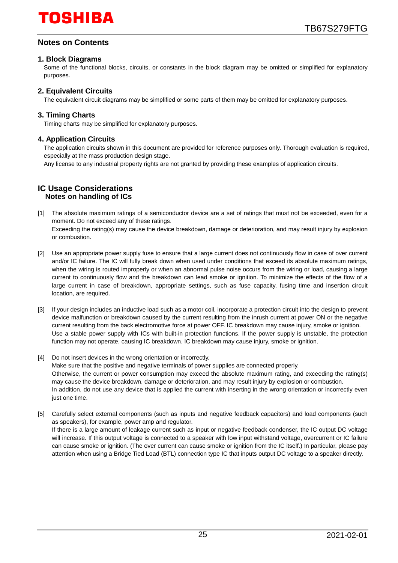## **Notes on Contents**

#### **1. Block Diagrams**

Some of the functional blocks, circuits, or constants in the block diagram may be omitted or simplified for explanatory purposes.

### **2. Equivalent Circuits**

The equivalent circuit diagrams may be simplified or some parts of them may be omitted for explanatory purposes.

#### **3. Timing Charts**

Timing charts may be simplified for explanatory purposes.

#### **4. Application Circuits**

The application circuits shown in this document are provided for reference purposes only. Thorough evaluation is required, especially at the mass production design stage.

Any license to any industrial property rights are not granted by providing these examples of application circuits.

#### **IC Usage Considerations Notes on handling of ICs**

- [1] The absolute maximum ratings of a semiconductor device are a set of ratings that must not be exceeded, even for a moment. Do not exceed any of these ratings. Exceeding the rating(s) may cause the device breakdown, damage or deterioration, and may result injury by explosion or combustion.
- [2] Use an appropriate power supply fuse to ensure that a large current does not continuously flow in case of over current and/or IC failure. The IC will fully break down when used under conditions that exceed its absolute maximum ratings, when the wiring is routed improperly or when an abnormal pulse noise occurs from the wiring or load, causing a large current to continuously flow and the breakdown can lead smoke or ignition. To minimize the effects of the flow of a large current in case of breakdown, appropriate settings, such as fuse capacity, fusing time and insertion circuit location, are required.
- [3] If your design includes an inductive load such as a motor coil, incorporate a protection circuit into the design to prevent device malfunction or breakdown caused by the current resulting from the inrush current at power ON or the negative current resulting from the back electromotive force at power OFF. IC breakdown may cause injury, smoke or ignition. Use a stable power supply with ICs with built-in protection functions. If the power supply is unstable, the protection function may not operate, causing IC breakdown. IC breakdown may cause injury, smoke or ignition.
- [4] Do not insert devices in the wrong orientation or incorrectly. Make sure that the positive and negative terminals of power supplies are connected properly. Otherwise, the current or power consumption may exceed the absolute maximum rating, and exceeding the rating(s) may cause the device breakdown, damage or deterioration, and may result injury by explosion or combustion. In addition, do not use any device that is applied the current with inserting in the wrong orientation or incorrectly even just one time.
- [5] Carefully select external components (such as inputs and negative feedback capacitors) and load components (such as speakers), for example, power amp and regulator. If there is a large amount of leakage current such as input or negative feedback condenser, the IC output DC voltage will increase. If this output voltage is connected to a speaker with low input withstand voltage, overcurrent or IC failure can cause smoke or ignition. (The over current can cause smoke or ignition from the IC itself.) In particular, please pay attention when using a Bridge Tied Load (BTL) connection type IC that inputs output DC voltage to a speaker directly.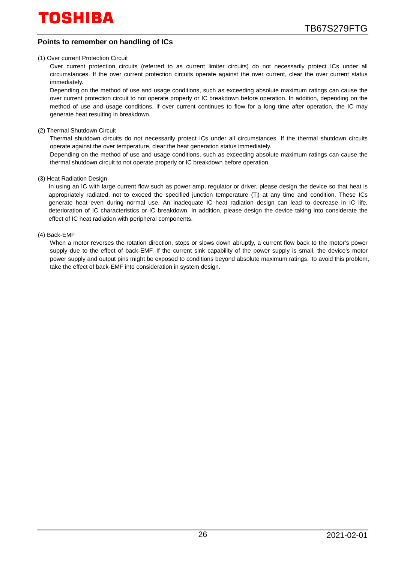### **Points to remember on handling of ICs**

#### (1) Over current Protection Circuit

Over current protection circuits (referred to as current limiter circuits) do not necessarily protect ICs under all circumstances. If the over current protection circuits operate against the over current, clear the over current status immediately.

Depending on the method of use and usage conditions, such as exceeding absolute maximum ratings can cause the over current protection circuit to not operate properly or IC breakdown before operation. In addition, depending on the method of use and usage conditions, if over current continues to flow for a long time after operation, the IC may generate heat resulting in breakdown.

(2) Thermal Shutdown Circuit

Thermal shutdown circuits do not necessarily protect ICs under all circumstances. If the thermal shutdown circuits operate against the over temperature, clear the heat generation status immediately.

Depending on the method of use and usage conditions, such as exceeding absolute maximum ratings can cause the thermal shutdown circuit to not operate properly or IC breakdown before operation.

#### (3) Heat Radiation Design

In using an IC with large current flow such as power amp, regulator or driver, please design the device so that heat is appropriately radiated, not to exceed the specified junction temperature (Ti) at any time and condition. These ICs generate heat even during normal use. An inadequate IC heat radiation design can lead to decrease in IC life, deterioration of IC characteristics or IC breakdown. In addition, please design the device taking into considerate the effect of IC heat radiation with peripheral components.

#### (4) Back-EMF

When a motor reverses the rotation direction, stops or slows down abruptly, a current flow back to the motor's power supply due to the effect of back-EMF. If the current sink capability of the power supply is small, the device's motor power supply and output pins might be exposed to conditions beyond absolute maximum ratings. To avoid this problem, take the effect of back-EMF into consideration in system design.